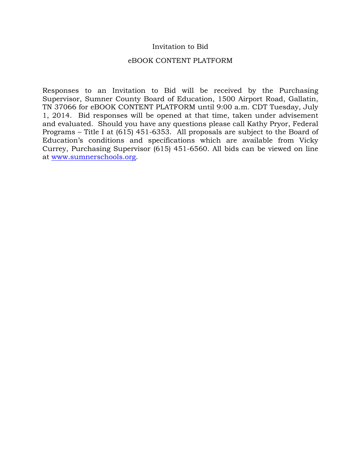# Invitation to Bid

#### eBOOK CONTENT PLATFORM

Responses to an Invitation to Bid will be received by the Purchasing Supervisor, Sumner County Board of Education, 1500 Airport Road, Gallatin, TN 37066 for eBOOK CONTENT PLATFORM until 9:00 a.m. CDT Tuesday, July 1, 2014. Bid responses will be opened at that time, taken under advisement and evaluated. Should you have any questions please call Kathy Pryor, Federal Programs – Title I at (615) 451-6353. All proposals are subject to the Board of Education's conditions and specifications which are available from Vicky Currey, Purchasing Supervisor (615) 451-6560. All bids can be viewed on line at www.sumnerschools.org.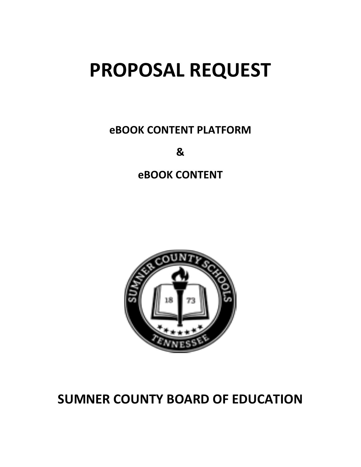# **PROPOSAL REQUEST**

**eBOOK CONTENT PLATFORM** 

**&**

**eBOOK CONTENT**



# **SUMNER COUNTY BOARD OF EDUCATION**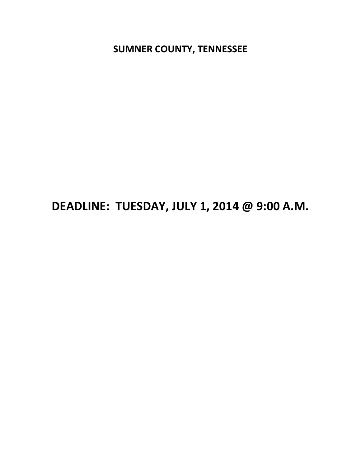**SUMNER COUNTY, TENNESSEE** 

# DEADLINE: TUESDAY, JULY 1, 2014 @ 9:00 A.M.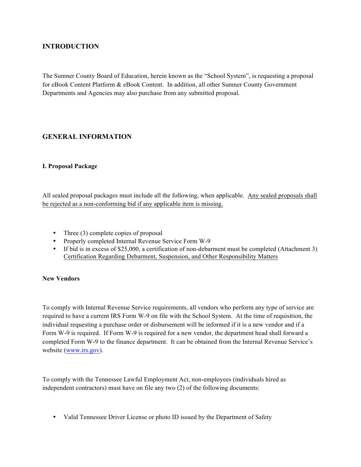# **INTRODUCTION**

The Sumner County Board of Education, herein known as the "School System", is requesting a proposal for eBook Content Platform & eBook Content. In addition, all other Sumner County Government Departments and Agencies may also purchase from any submitted proposal.

# **GENERAL INFORMATION**

#### **I. Proposal Package**

All sealed proposal packages must include all the following, when applicable. Any sealed proposals shall be rejected as a non-conforming bid if any applicable item is missing.

- Three (3) complete copies of proposal
- Properly completed Internal Revenue Service Form W-9
- If bid is in excess of \$25,000, a certification of non-debarment must be completed (Attachment 3) Certification Regarding Debarment, Suspension, and Other Responsibility Matters

#### **New Vendors**

To comply with Internal Revenue Service requirements, all vendors who perform any type of service are required to have a current IRS Form W-9 on file with the School System. At the time of requisition, the individual requesting a purchase order or disbursement will be informed if it is a new vendor and if a Form W-9 is required. If Form W-9 is required for a new vendor, the department head shall forward a completed Form W-9 to the finance department. It can be obtained from the Internal Revenue Service's website (www.irs.gov).

To comply with the Tennessee Lawful Employment Act, non-employees (individuals hired as independent contractors) must have on file any two (2) of the following documents:

• Valid Tennessee Driver License or photo ID issued by the Department of Safety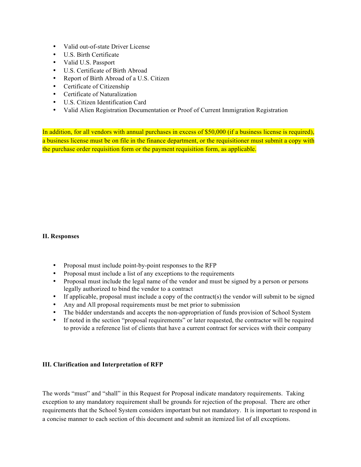- Valid out-of-state Driver License
- U.S. Birth Certificate
- Valid U.S. Passport
- U.S. Certificate of Birth Abroad
- Report of Birth Abroad of a U.S. Citizen
- Certificate of Citizenship
- Certificate of Naturalization
- U.S. Citizen Identification Card
- Valid Alien Registration Documentation or Proof of Current Immigration Registration

In addition, for all vendors with annual purchases in excess of \$50,000 (if a business license is required), a business license must be on file in the finance department, or the requisitioner must submit a copy with the purchase order requisition form or the payment requisition form, as applicable.

#### **II. Responses**

- Proposal must include point-by-point responses to the RFP
- Proposal must include a list of any exceptions to the requirements
- Proposal must include the legal name of the vendor and must be signed by a person or persons legally authorized to bind the vendor to a contract
- If applicable, proposal must include a copy of the contract(s) the vendor will submit to be signed
- Any and All proposal requirements must be met prior to submission
- The bidder understands and accepts the non-appropriation of funds provision of School System
- If noted in the section "proposal requirements" or later requested, the contractor will be required to provide a reference list of clients that have a current contract for services with their company

#### **III. Clarification and Interpretation of RFP**

The words "must" and "shall" in this Request for Proposal indicate mandatory requirements. Taking exception to any mandatory requirement shall be grounds for rejection of the proposal. There are other requirements that the School System considers important but not mandatory. It is important to respond in a concise manner to each section of this document and submit an itemized list of all exceptions.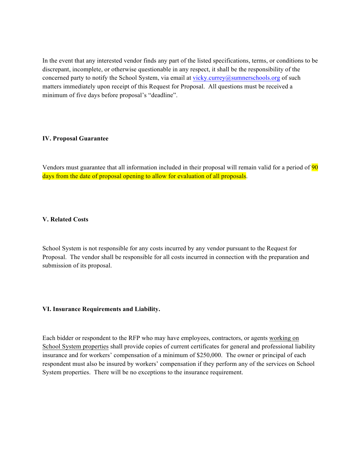In the event that any interested vendor finds any part of the listed specifications, terms, or conditions to be discrepant, incomplete, or otherwise questionable in any respect, it shall be the responsibility of the concerned party to notify the School System, via email at vicky.currey@sumnerschools.org of such matters immediately upon receipt of this Request for Proposal. All questions must be received a minimum of five days before proposal's "deadline".

#### **IV. Proposal Guarantee**

Vendors must guarantee that all information included in their proposal will remain valid for a period of 90 days from the date of proposal opening to allow for evaluation of all proposals.

#### **V. Related Costs**

School System is not responsible for any costs incurred by any vendor pursuant to the Request for Proposal. The vendor shall be responsible for all costs incurred in connection with the preparation and submission of its proposal.

#### **VI. Insurance Requirements and Liability.**

Each bidder or respondent to the RFP who may have employees, contractors, or agents working on School System properties shall provide copies of current certificates for general and professional liability insurance and for workers' compensation of a minimum of \$250,000. The owner or principal of each respondent must also be insured by workers' compensation if they perform any of the services on School System properties. There will be no exceptions to the insurance requirement.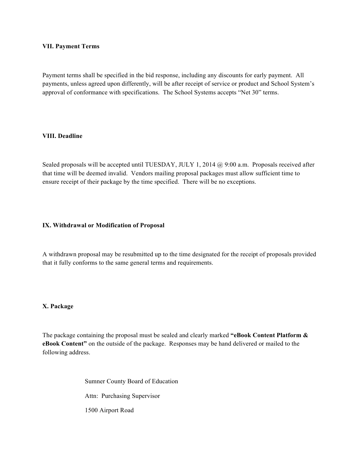#### **VII. Payment Terms**

Payment terms shall be specified in the bid response, including any discounts for early payment. All payments, unless agreed upon differently, will be after receipt of service or product and School System's approval of conformance with specifications. The School Systems accepts "Net 30" terms.

#### **VIII. Deadline**

Sealed proposals will be accepted until TUESDAY, JULY 1, 2014 @ 9:00 a.m. Proposals received after that time will be deemed invalid. Vendors mailing proposal packages must allow sufficient time to ensure receipt of their package by the time specified. There will be no exceptions.

#### **IX. Withdrawal or Modification of Proposal**

A withdrawn proposal may be resubmitted up to the time designated for the receipt of proposals provided that it fully conforms to the same general terms and requirements.

#### **X. Package**

The package containing the proposal must be sealed and clearly marked **"eBook Content Platform & eBook Content"** on the outside of the package. Responses may be hand delivered or mailed to the following address.

> Sumner County Board of Education Attn: Purchasing Supervisor 1500 Airport Road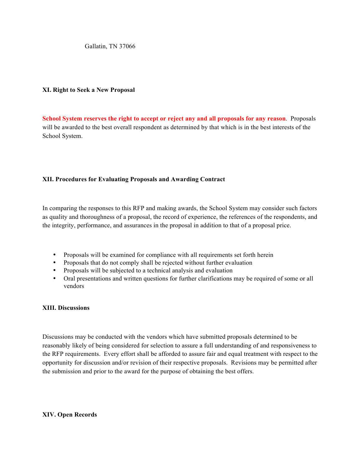Gallatin, TN 37066

#### **XI. Right to Seek a New Proposal**

**School System reserves the right to accept or reject any and all proposals for any reason**. Proposals will be awarded to the best overall respondent as determined by that which is in the best interests of the School System.

#### **XII. Procedures for Evaluating Proposals and Awarding Contract**

In comparing the responses to this RFP and making awards, the School System may consider such factors as quality and thoroughness of a proposal, the record of experience, the references of the respondents, and the integrity, performance, and assurances in the proposal in addition to that of a proposal price.

- Proposals will be examined for compliance with all requirements set forth herein
- Proposals that do not comply shall be rejected without further evaluation
- Proposals will be subjected to a technical analysis and evaluation
- Oral presentations and written questions for further clarifications may be required of some or all vendors

#### **XIII. Discussions**

Discussions may be conducted with the vendors which have submitted proposals determined to be reasonably likely of being considered for selection to assure a full understanding of and responsiveness to the RFP requirements. Every effort shall be afforded to assure fair and equal treatment with respect to the opportunity for discussion and/or revision of their respective proposals. Revisions may be permitted after the submission and prior to the award for the purpose of obtaining the best offers.

#### **XIV. Open Records**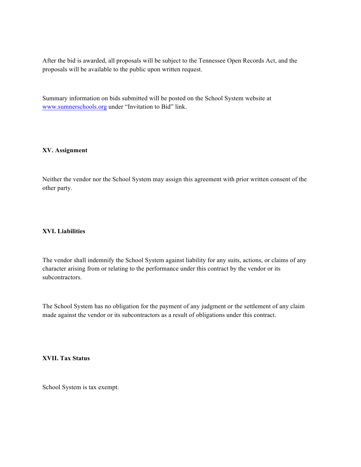After the bid is awarded, all proposals will be subject to the Tennessee Open Records Act, and the proposals will be available to the public upon written request.

Summary information on bids submitted will be posted on the School System website at www.sumnerschools.org under "Invitation to Bid" link.

#### **XV. Assignment**

Neither the vendor nor the School System may assign this agreement with prior written consent of the other party.

#### **XVI. Liabilities**

The vendor shall indemnify the School System against liability for any suits, actions, or claims of any character arising from or relating to the performance under this contract by the vendor or its subcontractors.

The School System has no obligation for the payment of any judgment or the settlement of any claim made against the vendor or its subcontractors as a result of obligations under this contract.

#### **XVII. Tax Status**

School System is tax exempt.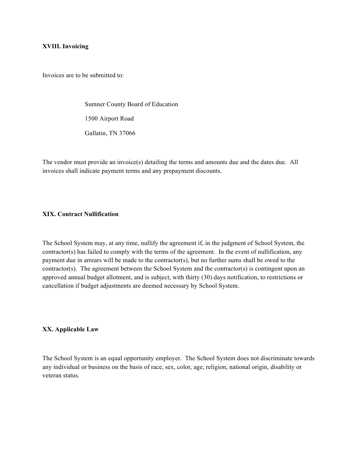#### **XVIII. Invoicing**

Invoices are to be submitted to:

Sumner County Board of Education 1500 Airport Road Gallatin, TN 37066

The vendor must provide an invoice(s) detailing the terms and amounts due and the dates due. All invoices shall indicate payment terms and any prepayment discounts.

# **XIX. Contract Nullification**

The School System may, at any time, nullify the agreement if, in the judgment of School System, the contractor(s) has failed to comply with the terms of the agreement. In the event of nullification, any payment due in arrears will be made to the contractor(s), but no further sums shall be owed to the contractor(s). The agreement between the School System and the contractor(s) is contingent upon an approved annual budget allotment, and is subject, with thirty (30) days notification, to restrictions or cancellation if budget adjustments are deemed necessary by School System.

#### **XX. Applicable Law**

The School System is an equal opportunity employer. The School System does not discriminate towards any individual or business on the basis of race, sex, color, age, religion, national origin, disability or veteran status.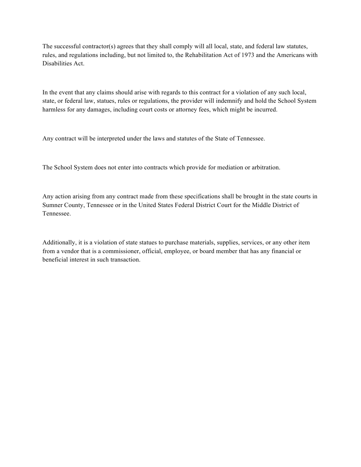The successful contractor(s) agrees that they shall comply will all local, state, and federal law statutes, rules, and regulations including, but not limited to, the Rehabilitation Act of 1973 and the Americans with Disabilities Act.

In the event that any claims should arise with regards to this contract for a violation of any such local, state, or federal law, statues, rules or regulations, the provider will indemnify and hold the School System harmless for any damages, including court costs or attorney fees, which might be incurred.

Any contract will be interpreted under the laws and statutes of the State of Tennessee.

The School System does not enter into contracts which provide for mediation or arbitration.

Any action arising from any contract made from these specifications shall be brought in the state courts in Sumner County, Tennessee or in the United States Federal District Court for the Middle District of Tennessee.

Additionally, it is a violation of state statues to purchase materials, supplies, services, or any other item from a vendor that is a commissioner, official, employee, or board member that has any financial or beneficial interest in such transaction.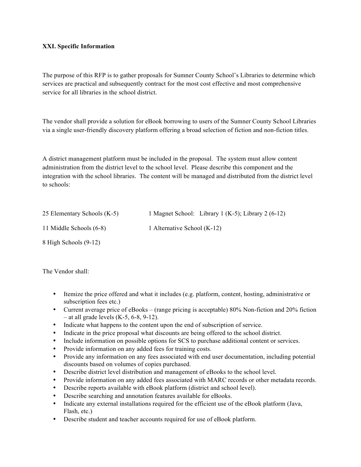#### **XXI. Specific Information**

The purpose of this RFP is to gather proposals for Sumner County School's Libraries to determine which services are practical and subsequently contract for the most cost effective and most comprehensive service for all libraries in the school district.

The vendor shall provide a solution for eBook borrowing to users of the Sumner County School Libraries via a single user-friendly discovery platform offering a broad selection of fiction and non-fiction titles.

A district management platform must be included in the proposal. The system must allow content administration from the district level to the school level. Please describe this component and the integration with the school libraries. The content will be managed and distributed from the district level to schools:

| 25 Elementary Schools (K-5) | 1 Magnet School: Library 1 (K-5); Library 2 (6-12) |
|-----------------------------|----------------------------------------------------|
| 11 Middle Schools (6-8)     | 1 Alternative School (K-12)                        |
| 8 High Schools (9-12)       |                                                    |

The Vendor shall:

- Itemize the price offered and what it includes (e.g. platform, content, hosting, administrative or subscription fees etc.)
- Current average price of eBooks (range pricing is acceptable) 80% Non-fiction and 20% fiction  $-$  at all grade levels (K-5, 6-8, 9-12).
- Indicate what happens to the content upon the end of subscription of service.
- Indicate in the price proposal what discounts are being offered to the school district.
- Include information on possible options for SCS to purchase additional content or services.
- Provide information on any added fees for training costs.
- Provide any information on any fees associated with end user documentation, including potential discounts based on volumes of copies purchased.
- Describe district level distribution and management of eBooks to the school level.
- Provide information on any added fees associated with MARC records or other metadata records.
- Describe reports available with eBook platform (district and school level).
- Describe searching and annotation features available for eBooks.
- Indicate any external installations required for the efficient use of the eBook platform (Java, Flash, etc.)
- Describe student and teacher accounts required for use of eBook platform.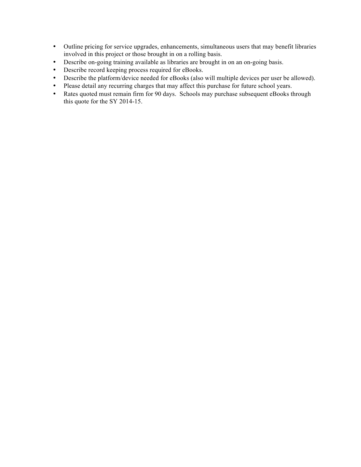- Outline pricing for service upgrades, enhancements, simultaneous users that may benefit libraries involved in this project or those brought in on a rolling basis.
- Describe on-going training available as libraries are brought in on an on-going basis.
- Describe record keeping process required for eBooks.
- Describe the platform/device needed for eBooks (also will multiple devices per user be allowed).
- Please detail any recurring charges that may affect this purchase for future school years.
- Rates quoted must remain firm for 90 days. Schools may purchase subsequent eBooks through this quote for the SY 2014-15.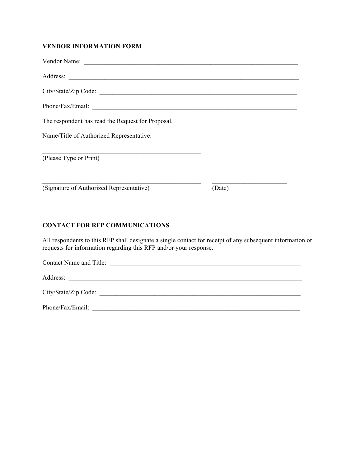# **VENDOR INFORMATION FORM**

| The respondent has read the Request for Proposal. |        |
|---------------------------------------------------|--------|
| Name/Title of Authorized Representative:          |        |
| (Please Type or Print)                            |        |
| (Signature of Authorized Representative)          | (Date) |

# **CONTACT FOR RFP COMMUNICATIONS**

All respondents to this RFP shall designate a single contact for receipt of any subsequent information or requests for information regarding this RFP and/or your response.

| Contact Name and Title: |  |
|-------------------------|--|
| Address:                |  |
| City/State/Zip Code:    |  |
| Phone/Fax/Email:        |  |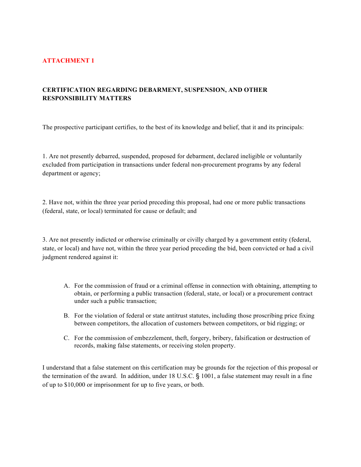# **ATTACHMENT 1**

# **CERTIFICATION REGARDING DEBARMENT, SUSPENSION, AND OTHER RESPONSIBILITY MATTERS**

The prospective participant certifies, to the best of its knowledge and belief, that it and its principals:

1. Are not presently debarred, suspended, proposed for debarment, declared ineligible or voluntarily excluded from participation in transactions under federal non-procurement programs by any federal department or agency;

2. Have not, within the three year period preceding this proposal, had one or more public transactions (federal, state, or local) terminated for cause or default; and

3. Are not presently indicted or otherwise criminally or civilly charged by a government entity (federal, state, or local) and have not, within the three year period preceding the bid, been convicted or had a civil judgment rendered against it:

- A. For the commission of fraud or a criminal offense in connection with obtaining, attempting to obtain, or performing a public transaction (federal, state, or local) or a procurement contract under such a public transaction;
- B. For the violation of federal or state antitrust statutes, including those proscribing price fixing between competitors, the allocation of customers between competitors, or bid rigging; or
- C. For the commission of embezzlement, theft, forgery, bribery, falsification or destruction of records, making false statements, or receiving stolen property.

I understand that a false statement on this certification may be grounds for the rejection of this proposal or the termination of the award. In addition, under 18 U.S.C. § 1001, a false statement may result in a fine of up to \$10,000 or imprisonment for up to five years, or both.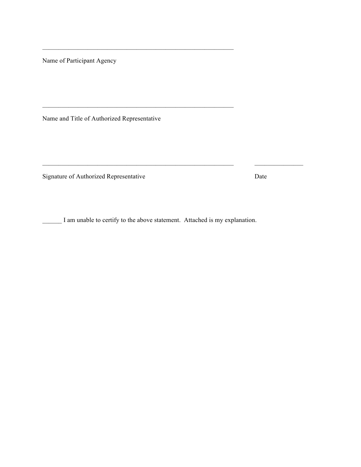Name of Participant Agency

Name and Title of Authorized Representative

 $\mathcal{L}_\text{max} = \mathcal{L}_\text{max} = \mathcal{L}_\text{max} = \mathcal{L}_\text{max} = \mathcal{L}_\text{max} = \mathcal{L}_\text{max} = \mathcal{L}_\text{max} = \mathcal{L}_\text{max} = \mathcal{L}_\text{max} = \mathcal{L}_\text{max} = \mathcal{L}_\text{max} = \mathcal{L}_\text{max} = \mathcal{L}_\text{max} = \mathcal{L}_\text{max} = \mathcal{L}_\text{max} = \mathcal{L}_\text{max} = \mathcal{L}_\text{max} = \mathcal{L}_\text{max} = \mathcal{$ 

 $\mathcal{L}_\text{max} = \mathcal{L}_\text{max} = \mathcal{L}_\text{max}$ 

Signature of Authorized Representative Date

\_\_\_\_\_\_ I am unable to certify to the above statement. Attached is my explanation.

\_\_\_\_\_\_\_\_\_\_\_\_\_\_\_\_\_\_\_\_\_\_\_\_\_\_\_\_\_\_\_\_\_\_\_\_\_\_\_\_\_\_\_\_\_\_\_\_\_\_\_\_\_\_\_\_\_\_\_ \_\_\_\_\_\_\_\_\_\_\_\_\_\_\_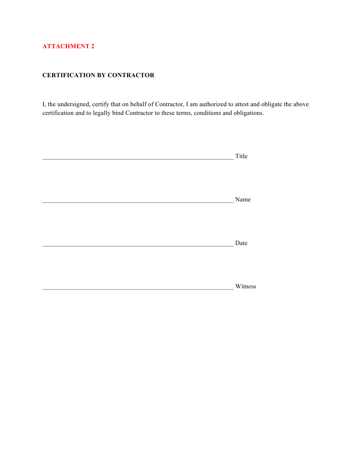# **ATTACHMENT 2**

# **CERTIFICATION BY CONTRACTOR**

I, the undersigned, certify that on behalf of Contractor, I am authorized to attest and obligate the above certification and to legally bind Contractor to these terms, conditions and obligations.

| Title   |
|---------|
|         |
|         |
|         |
| Name    |
|         |
|         |
|         |
|         |
| Date    |
|         |
|         |
|         |
| Witness |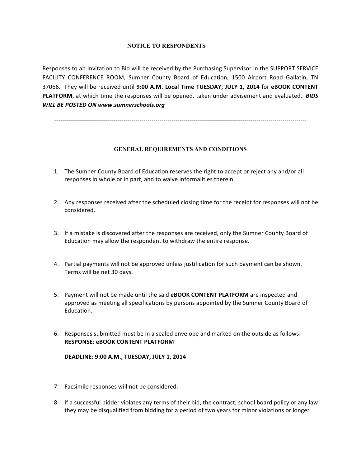#### **NOTICE TO RESPONDENTS**

Responses to an Invitation to Bid will be received by the Purchasing Supervisor in the SUPPORT SERVICE FACILITY CONFERENCE ROOM, Sumner County Board of Education, 1500 Airport Road Gallatin, TN 37066. They will be received until 9:00 A.M. Local Time TUESDAY, JULY 1, 2014 for eBOOK CONTENT **PLATFORM**, at which time the responses will be opened, taken under advisement and evaluated. **BIDS** *WILL BE POSTED ON www.sumnerschools.org*

-------------------------------------------------------------------------------------------------------------------------------

#### **GENERAL REQUIREMENTS AND CONDITIONS**

- 1. The Sumner County Board of Education reserves the right to accept or reject any and/or all responses in whole or in part, and to waive informalities therein.
- 2. Any responses received after the scheduled closing time for the receipt for responses will not be considered.
- 3. If a mistake is discovered after the responses are received, only the Sumner County Board of Education may allow the respondent to withdraw the entire response.
- 4. Partial payments will not be approved unless justification for such payment can be shown. Terms will be net 30 days.
- 5. Payment will not be made until the said **eBOOK CONTENT PLATFORM** are inspected and approved as meeting all specifications by persons appointed by the Sumner County Board of Education.
- 6. Responses submitted must be in a sealed envelope and marked on the outside as follows: **RESPONSE: eBOOK CONTENT PLATFORM**

#### **DEADLINE: 9:00 A.M., TUESDAY, JULY 1, 2014**

- 7. Facsimile responses will not be considered.
- 8. If a successful bidder violates any terms of their bid, the contract, school board policy or any law they may be disqualified from bidding for a period of two years for minor violations or longer